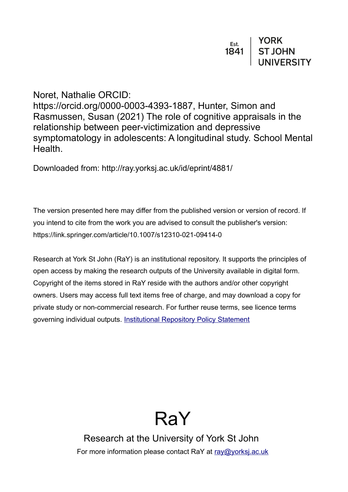Noret, Nathalie ORCID: https://orcid.org/0000-0003-4393-1887, Hunter, Simon and Rasmussen, Susan (2021) The role of cognitive appraisals in the relationship between peer-victimization and depressive symptomatology in adolescents: A longitudinal study. School Mental Health.

Downloaded from: http://ray.yorksj.ac.uk/id/eprint/4881/

The version presented here may differ from the published version or version of record. If you intend to cite from the work you are advised to consult the publisher's version: https://link.springer.com/article/10.1007/s12310-021-09414-0

Research at York St John (RaY) is an institutional repository. It supports the principles of open access by making the research outputs of the University available in digital form. Copyright of the items stored in RaY reside with the authors and/or other copyright owners. Users may access full text items free of charge, and may download a copy for private study or non-commercial research. For further reuse terms, see licence terms governing individual outputs. [Institutional Repository Policy Statement](https://www.yorksj.ac.uk/ils/repository-policies/)



Research at the University of York St John For more information please contact RaY at [ray@yorksj.ac.uk](mailto:ray@yorksj.ac.uk)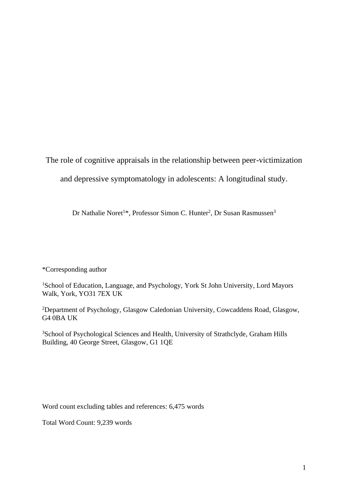The role of cognitive appraisals in the relationship between peer-victimization

and depressive symptomatology in adolescents: A longitudinal study.

Dr Nathalie Noret<sup>1\*</sup>, Professor Simon C. Hunter<sup>2</sup>, Dr Susan Rasmussen<sup>3</sup>

\*Corresponding author

<sup>1</sup>School of Education, Language, and Psychology, York St John University, Lord Mayors Walk, York, YO31 7EX UK

<sup>2</sup>Department of Psychology, Glasgow Caledonian University, Cowcaddens Road, Glasgow, G4 0BA UK

<sup>3</sup>School of Psychological Sciences and Health, University of Strathclyde, Graham Hills Building, 40 George Street, Glasgow, G1 1QE

Word count excluding tables and references: 6,475 words

Total Word Count: 9,239 words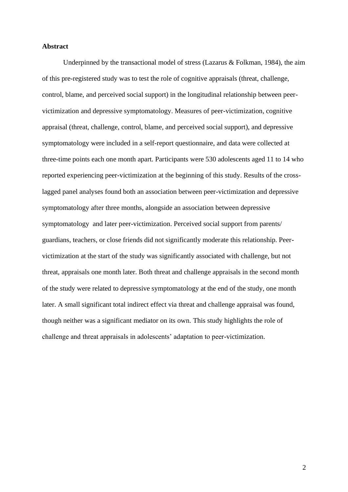## **Abstract**

Underpinned by the transactional model of stress (Lazarus & Folkman, 1984), the aim of this pre-registered study was to test the role of cognitive appraisals (threat, challenge, control, blame, and perceived social support) in the longitudinal relationship between peervictimization and depressive symptomatology. Measures of peer-victimization, cognitive appraisal (threat, challenge, control, blame, and perceived social support), and depressive symptomatology were included in a self-report questionnaire, and data were collected at three-time points each one month apart. Participants were 530 adolescents aged 11 to 14 who reported experiencing peer-victimization at the beginning of this study. Results of the crosslagged panel analyses found both an association between peer-victimization and depressive symptomatology after three months, alongside an association between depressive symptomatology and later peer-victimization. Perceived social support from parents/ guardians, teachers, or close friends did not significantly moderate this relationship. Peervictimization at the start of the study was significantly associated with challenge, but not threat, appraisals one month later. Both threat and challenge appraisals in the second month of the study were related to depressive symptomatology at the end of the study, one month later. A small significant total indirect effect via threat and challenge appraisal was found, though neither was a significant mediator on its own. This study highlights the role of challenge and threat appraisals in adolescents' adaptation to peer-victimization.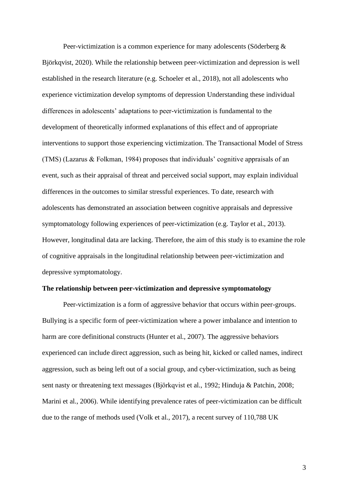Peer-victimization is a common experience for many adolescents (Söderberg & Björkqvist, 2020). While the relationship between peer-victimization and depression is well established in the research literature (e.g. Schoeler et al., 2018), not all adolescents who experience victimization develop symptoms of depression Understanding these individual differences in adolescents' adaptations to peer-victimization is fundamental to the development of theoretically informed explanations of this effect and of appropriate interventions to support those experiencing victimization. The Transactional Model of Stress (TMS) (Lazarus & Folkman, 1984) proposes that individuals' cognitive appraisals of an event, such as their appraisal of threat and perceived social support, may explain individual differences in the outcomes to similar stressful experiences. To date, research with adolescents has demonstrated an association between cognitive appraisals and depressive symptomatology following experiences of peer-victimization (e.g. Taylor et al., 2013). However, longitudinal data are lacking. Therefore, the aim of this study is to examine the role of cognitive appraisals in the longitudinal relationship between peer-victimization and depressive symptomatology.

#### **The relationship between peer-victimization and depressive symptomatology**

Peer-victimization is a form of aggressive behavior that occurs within peer-groups. Bullying is a specific form of peer-victimization where a power imbalance and intention to harm are core definitional constructs (Hunter et al., 2007). The aggressive behaviors experienced can include direct aggression, such as being hit, kicked or called names, indirect aggression, such as being left out of a social group, and cyber-victimization, such as being sent nasty or threatening text messages (Björkqvist et al., 1992; Hinduja & Patchin, 2008; Marini et al., 2006). While identifying prevalence rates of peer-victimization can be difficult due to the range of methods used (Volk et al., 2017), a recent survey of 110,788 UK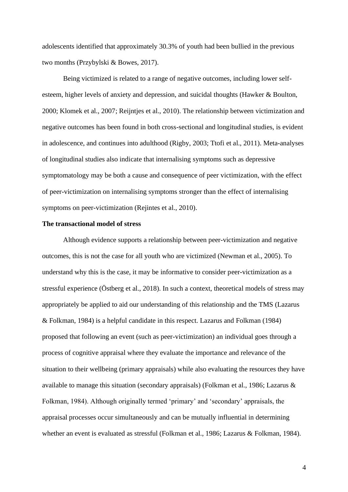adolescents identified that approximately 30.3% of youth had been bullied in the previous two months (Przybylski & Bowes, 2017).

Being victimized is related to a range of negative outcomes, including lower selfesteem, higher levels of anxiety and depression, and suicidal thoughts (Hawker & Boulton, 2000; Klomek et al., 2007; Reijntjes et al., 2010). The relationship between victimization and negative outcomes has been found in both cross-sectional and longitudinal studies, is evident in adolescence, and continues into adulthood (Rigby, 2003; Ttofi et al., 2011). Meta-analyses of longitudinal studies also indicate that internalising symptoms such as depressive symptomatology may be both a cause and consequence of peer victimization, with the effect of peer-victimization on internalising symptoms stronger than the effect of internalising symptoms on peer-victimization (Rejintes et al., 2010).

# **The transactional model of stress**

Although evidence supports a relationship between peer-victimization and negative outcomes, this is not the case for all youth who are victimized (Newman et al., 2005). To understand why this is the case, it may be informative to consider peer-victimization as a stressful experience (Östberg et al., 2018). In such a context, theoretical models of stress may appropriately be applied to aid our understanding of this relationship and the TMS (Lazarus & Folkman, 1984) is a helpful candidate in this respect. Lazarus and Folkman (1984) proposed that following an event (such as peer-victimization) an individual goes through a process of cognitive appraisal where they evaluate the importance and relevance of the situation to their wellbeing (primary appraisals) while also evaluating the resources they have available to manage this situation (secondary appraisals) (Folkman et al., 1986; Lazarus & Folkman, 1984). Although originally termed 'primary' and 'secondary' appraisals, the appraisal processes occur simultaneously and can be mutually influential in determining whether an event is evaluated as stressful (Folkman et al., 1986; Lazarus & Folkman, 1984).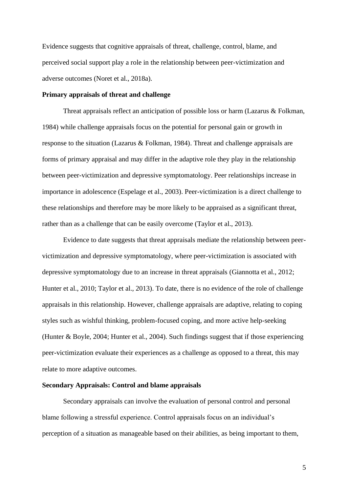Evidence suggests that cognitive appraisals of threat, challenge, control, blame, and perceived social support play a role in the relationship between peer-victimization and adverse outcomes (Noret et al., 2018a).

### **Primary appraisals of threat and challenge**

Threat appraisals reflect an anticipation of possible loss or harm (Lazarus & Folkman, 1984) while challenge appraisals focus on the potential for personal gain or growth in response to the situation (Lazarus & Folkman, 1984). Threat and challenge appraisals are forms of primary appraisal and may differ in the adaptive role they play in the relationship between peer-victimization and depressive symptomatology. Peer relationships increase in importance in adolescence (Espelage et al., 2003). Peer-victimization is a direct challenge to these relationships and therefore may be more likely to be appraised as a significant threat, rather than as a challenge that can be easily overcome (Taylor et al., 2013).

Evidence to date suggests that threat appraisals mediate the relationship between peervictimization and depressive symptomatology, where peer-victimization is associated with depressive symptomatology due to an increase in threat appraisals (Giannotta et al., 2012; Hunter et al., 2010; Taylor et al., 2013). To date, there is no evidence of the role of challenge appraisals in this relationship. However, challenge appraisals are adaptive, relating to coping styles such as wishful thinking, problem-focused coping, and more active help-seeking (Hunter & Boyle, 2004; Hunter et al., 2004). Such findings suggest that if those experiencing peer-victimization evaluate their experiences as a challenge as opposed to a threat, this may relate to more adaptive outcomes.

## **Secondary Appraisals: Control and blame appraisals**

Secondary appraisals can involve the evaluation of personal control and personal blame following a stressful experience. Control appraisals focus on an individual's perception of a situation as manageable based on their abilities, as being important to them,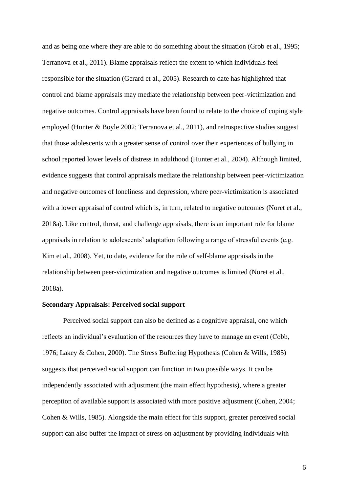and as being one where they are able to do something about the situation (Grob et al., 1995; Terranova et al., 2011). Blame appraisals reflect the extent to which individuals feel responsible for the situation (Gerard et al., 2005). Research to date has highlighted that control and blame appraisals may mediate the relationship between peer-victimization and negative outcomes. Control appraisals have been found to relate to the choice of coping style employed (Hunter & Boyle 2002; Terranova et al., 2011), and retrospective studies suggest that those adolescents with a greater sense of control over their experiences of bullying in school reported lower levels of distress in adulthood (Hunter et al., 2004). Although limited, evidence suggests that control appraisals mediate the relationship between peer-victimization and negative outcomes of loneliness and depression, where peer-victimization is associated with a lower appraisal of control which is, in turn, related to negative outcomes (Noret et al., 2018a). Like control, threat, and challenge appraisals, there is an important role for blame appraisals in relation to adolescents' adaptation following a range of stressful events (e.g. Kim et al., 2008). Yet, to date, evidence for the role of self-blame appraisals in the relationship between peer-victimization and negative outcomes is limited (Noret et al., 2018a).

## **Secondary Appraisals: Perceived social support**

Perceived social support can also be defined as a cognitive appraisal, one which reflects an individual's evaluation of the resources they have to manage an event (Cobb, 1976; Lakey & Cohen, 2000). The Stress Buffering Hypothesis (Cohen & Wills, 1985) suggests that perceived social support can function in two possible ways. It can be independently associated with adjustment (the main effect hypothesis), where a greater perception of available support is associated with more positive adjustment (Cohen, 2004; Cohen & Wills, 1985). Alongside the main effect for this support, greater perceived social support can also buffer the impact of stress on adjustment by providing individuals with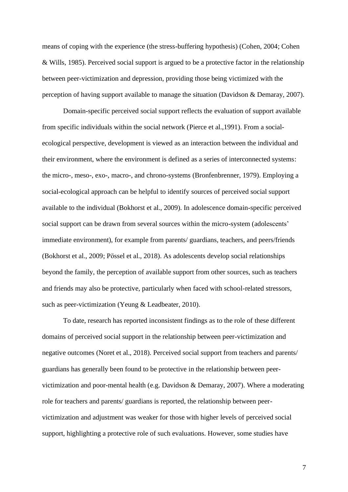means of coping with the experience (the stress-buffering hypothesis) (Cohen, 2004; Cohen & Wills, 1985). Perceived social support is argued to be a protective factor in the relationship between peer-victimization and depression, providing those being victimized with the perception of having support available to manage the situation (Davidson & Demaray, 2007).

Domain-specific perceived social support reflects the evaluation of support available from specific individuals within the social network (Pierce et al.,1991). From a socialecological perspective, development is viewed as an interaction between the individual and their environment, where the environment is defined as a series of interconnected systems: the micro-, meso-, exo-, macro-, and chrono-systems (Bronfenbrenner, 1979). Employing a social-ecological approach can be helpful to identify sources of perceived social support available to the individual (Bokhorst et al., 2009). In adolescence domain-specific perceived social support can be drawn from several sources within the micro-system (adolescents' immediate environment), for example from parents/ guardians, teachers, and peers/friends (Bokhorst et al., 2009; Pössel et al., 2018). As adolescents develop social relationships beyond the family, the perception of available support from other sources, such as teachers and friends may also be protective, particularly when faced with school-related stressors, such as peer-victimization (Yeung & Leadbeater, 2010).

To date, research has reported inconsistent findings as to the role of these different domains of perceived social support in the relationship between peer-victimization and negative outcomes (Noret et al., 2018). Perceived social support from teachers and parents/ guardians has generally been found to be protective in the relationship between peervictimization and poor-mental health (e.g. Davidson & Demaray, 2007). Where a moderating role for teachers and parents/ guardians is reported, the relationship between peervictimization and adjustment was weaker for those with higher levels of perceived social support, highlighting a protective role of such evaluations. However, some studies have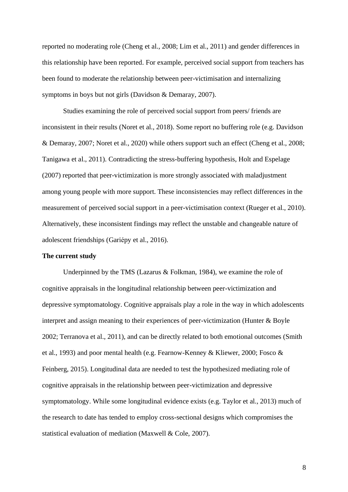reported no moderating role (Cheng et al., 2008; Lim et al., 2011) and gender differences in this relationship have been reported. For example, perceived social support from teachers has been found to moderate the relationship between peer-victimisation and internalizing symptoms in boys but not girls (Davidson & Demaray, 2007).

Studies examining the role of perceived social support from peers/ friends are inconsistent in their results (Noret et al., 2018). Some report no buffering role (e.g. Davidson & Demaray, 2007; Noret et al., 2020) while others support such an effect (Cheng et al., 2008; Tanigawa et al., 2011). Contradicting the stress-buffering hypothesis, Holt and Espelage (2007) reported that peer-victimization is more strongly associated with maladjustment among young people with more support. These inconsistencies may reflect differences in the measurement of perceived social support in a peer-victimisation context (Rueger et al., 2010). Alternatively, these inconsistent findings may reflect the unstable and changeable nature of adolescent friendships (Gariépy et al., 2016).

#### **The current study**

Underpinned by the TMS (Lazarus  $&$  Folkman, 1984), we examine the role of cognitive appraisals in the longitudinal relationship between peer-victimization and depressive symptomatology. Cognitive appraisals play a role in the way in which adolescents interpret and assign meaning to their experiences of peer-victimization (Hunter & Boyle 2002; Terranova et al., 2011), and can be directly related to both emotional outcomes (Smith et al., 1993) and poor mental health (e.g. Fearnow-Kenney & Kliewer, 2000; Fosco & Feinberg, 2015). Longitudinal data are needed to test the hypothesized mediating role of cognitive appraisals in the relationship between peer-victimization and depressive symptomatology. While some longitudinal evidence exists (e.g. Taylor et al., 2013) much of the research to date has tended to employ cross-sectional designs which compromises the statistical evaluation of mediation (Maxwell & Cole, 2007).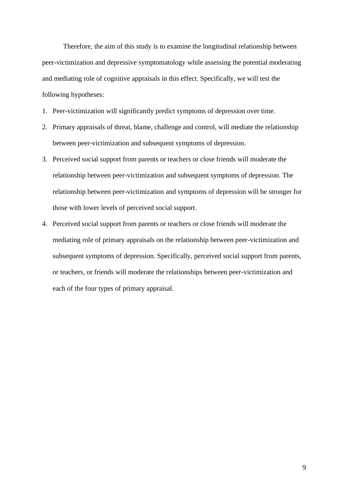Therefore, the aim of this study is to examine the longitudinal relationship between peer-victimization and depressive symptomatology while assessing the potential moderating and mediating role of cognitive appraisals in this effect. Specifically, we will test the following hypotheses:

- 1. Peer-victimization will significantly predict symptoms of depression over time.
- 2. Primary appraisals of threat, blame, challenge and control, will mediate the relationship between peer-victimization and subsequent symptoms of depression.
- 3. Perceived social support from parents or teachers or close friends will moderate the relationship between peer-victimization and subsequent symptoms of depression. The relationship between peer-victimization and symptoms of depression will be stronger for those with lower levels of perceived social support.
- 4. Perceived social support from parents or teachers or close friends will moderate the mediating role of primary appraisals on the relationship between peer-victimization and subsequent symptoms of depression. Specifically, perceived social support from parents, or teachers, or friends will moderate the relationships between peer-victimization and each of the four types of primary appraisal.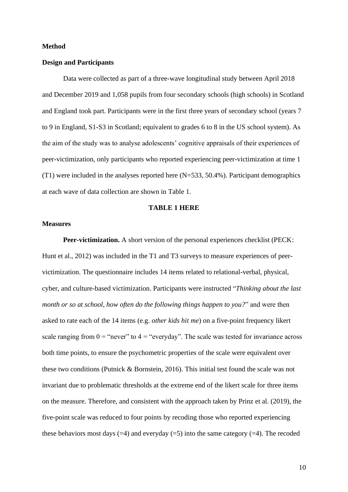#### **Method**

#### **Design and Participants**

Data were collected as part of a three-wave longitudinal study between April 2018 and December 2019 and 1,058 pupils from four secondary schools (high schools) in Scotland and England took part. Participants were in the first three years of secondary school (years 7 to 9 in England, S1-S3 in Scotland; equivalent to grades 6 to 8 in the US school system). As the aim of the study was to analyse adolescents' cognitive appraisals of their experiences of peer-victimization, only participants who reported experiencing peer-victimization at time 1 (T1) were included in the analyses reported here (N=533, 50.4%). Participant demographics at each wave of data collection are shown in Table 1.

# **TABLE 1 HERE**

# **Measures**

**Peer-victimization.** A short version of the personal experiences checklist (PECK: Hunt et al., 2012) was included in the T1 and T3 surveys to measure experiences of peervictimization. The questionnaire includes 14 items related to relational-verbal, physical, cyber, and culture-based victimization. Participants were instructed "*Thinking about the last month or so at school, how often do the following things happen to you?*" and were then asked to rate each of the 14 items (e.g. *other kids hit me*) on a five-point frequency likert scale ranging from  $0 =$  "never" to  $4 =$  "everyday". The scale was tested for invariance across both time points, to ensure the psychometric properties of the scale were equivalent over these two conditions (Putnick & Bornstein, 2016). This initial test found the scale was not invariant due to problematic thresholds at the extreme end of the likert scale for three items on the measure. Therefore, and consistent with the approach taken by Prinz et al. (2019), the five-point scale was reduced to four points by recoding those who reported experiencing these behaviors most days  $(=4)$  and everyday  $(=5)$  into the same category  $(=4)$ . The recoded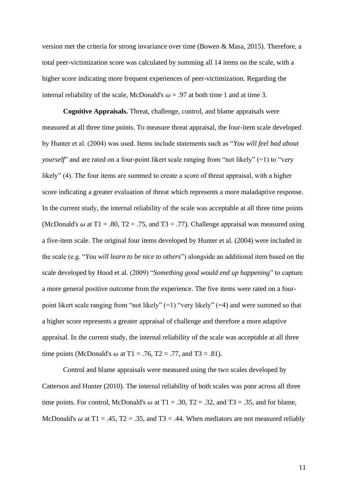version met the criteria for strong invariance over time (Bowen & Masa, 2015). Therefore, a total peer-victimization score was calculated by summing all 14 items on the scale, with a higher score indicating more frequent experiences of peer-victimization. Regarding the internal reliability of the scale, McDonald's  $\omega = .97$  at both time 1 and at time 3.

**Cognitive Appraisals.** Threat, challenge, control, and blame appraisals were measured at all three time points. To measure threat appraisal, the four-item scale developed by Hunter et al. (2004) was used. Items include statements such as "*You will feel bad about yourself*" and are rated on a four-point likert scale ranging from "not likely" (=1) to "very likely" (4). The four items are summed to create a score of threat appraisal, with a higher score indicating a greater evaluation of threat which represents a more maladaptive response. In the current study, the internal reliability of the scale was acceptable at all three time points (McDonald's  $\omega$  at T1 = .80, T2 = .75, and T3 = .77). Challenge appraisal was measured using a five-item scale. The original four items developed by Hunter et al. (2004) were included in the scale (e.g. "*You will learn to be nice to others*") alongside an additional item based on the scale developed by Hood et al. (2009) "*Something good would end up happening*" to capture a more general positive outcome from the experience. The five items were rated on a fourpoint likert scale ranging from "not likely" (=1) "very likely" (=4) and were summed so that a higher score represents a greater appraisal of challenge and therefore a more adaptive appraisal. In the current study, the internal reliability of the scale was acceptable at all three time points (McDonald's  $\omega$  at T1 = .76, T2 = .77, and T3 = .81).

Control and blame appraisals were measured using the two scales developed by Catterson and Hunter (2010). The internal reliability of both scales was poor across all three time points. For control, McDonald's  $\omega$  at T1 = .30, T2 = .32, and T3 = .35, and for blame, McDonald's  $\omega$  at T1 = .45, T2 = .35, and T3 = .44. When mediators are not measured reliably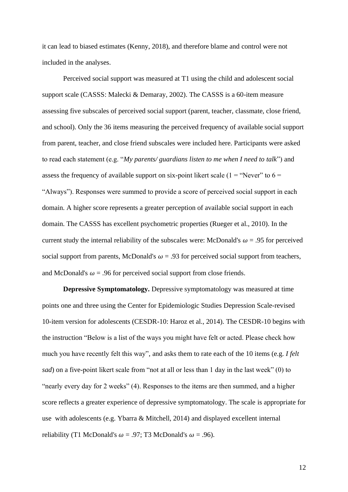it can lead to biased estimates (Kenny, 2018), and therefore blame and control were not included in the analyses.

Perceived social support was measured at T1 using the child and adolescent social support scale (CASSS: Malecki & Demaray, 2002). The CASSS is a 60-item measure assessing five subscales of perceived social support (parent, teacher, classmate, close friend, and school). Only the 36 items measuring the perceived frequency of available social support from parent, teacher, and close friend subscales were included here. Participants were asked to read each statement (e.g. "*My parents/ guardians listen to me when I need to talk*") and assess the frequency of available support on six-point likert scale (1 = "Never" to  $6 =$ "Always"). Responses were summed to provide a score of perceived social support in each domain. A higher score represents a greater perception of available social support in each domain. The CASSS has excellent psychometric properties (Rueger et al., 2010). In the current study the internal reliability of the subscales were: McDonald's  $\omega = .95$  for perceived social support from parents, McDonald's  $\omega = .93$  for perceived social support from teachers, and McDonald's  $\omega$  = .96 for perceived social support from close friends.

**Depressive Symptomatology.** Depressive symptomatology was measured at time points one and three using the Center for Epidemiologic Studies Depression Scale-revised 10-item version for adolescents (CESDR-10: Haroz et al., 2014). The CESDR-10 begins with the instruction "Below is a list of the ways you might have felt or acted. Please check how much you have recently felt this way", and asks them to rate each of the 10 items (e.g. *I felt sad*) on a five-point likert scale from "not at all or less than 1 day in the last week" (0) to "nearly every day for 2 weeks" (4). Responses to the items are then summed, and a higher score reflects a greater experience of depressive symptomatology. The scale is appropriate for use with adolescents (e.g. Ybarra & Mitchell, 2014) and displayed excellent internal reliability (T1 McDonald's  $\omega = .97$ ; T3 McDonald's  $\omega = .96$ ).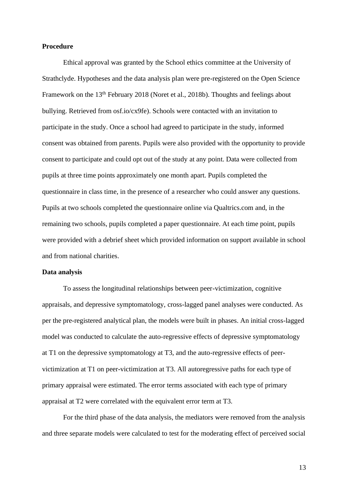## **Procedure**

Ethical approval was granted by the School ethics committee at the University of Strathclyde. Hypotheses and the data analysis plan were pre-registered on the Open Science Framework on the 13<sup>th</sup> February 2018 (Noret et al., 2018b). Thoughts and feelings about bullying. Retrieved from osf.io/cx9fe). Schools were contacted with an invitation to participate in the study. Once a school had agreed to participate in the study, informed consent was obtained from parents. Pupils were also provided with the opportunity to provide consent to participate and could opt out of the study at any point. Data were collected from pupils at three time points approximately one month apart. Pupils completed the questionnaire in class time, in the presence of a researcher who could answer any questions. Pupils at two schools completed the questionnaire online via Qualtrics.com and, in the remaining two schools, pupils completed a paper questionnaire. At each time point, pupils were provided with a debrief sheet which provided information on support available in school and from national charities.

#### **Data analysis**

To assess the longitudinal relationships between peer-victimization, cognitive appraisals, and depressive symptomatology, cross-lagged panel analyses were conducted. As per the pre-registered analytical plan, the models were built in phases. An initial cross-lagged model was conducted to calculate the auto-regressive effects of depressive symptomatology at T1 on the depressive symptomatology at T3, and the auto-regressive effects of peervictimization at T1 on peer-victimization at T3. All autoregressive paths for each type of primary appraisal were estimated. The error terms associated with each type of primary appraisal at T2 were correlated with the equivalent error term at T3.

For the third phase of the data analysis, the mediators were removed from the analysis and three separate models were calculated to test for the moderating effect of perceived social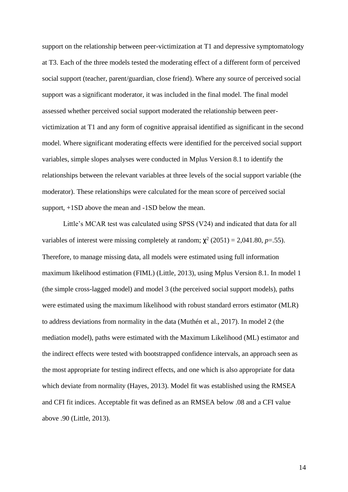support on the relationship between peer-victimization at T1 and depressive symptomatology at T3. Each of the three models tested the moderating effect of a different form of perceived social support (teacher, parent/guardian, close friend). Where any source of perceived social support was a significant moderator, it was included in the final model. The final model assessed whether perceived social support moderated the relationship between peervictimization at T1 and any form of cognitive appraisal identified as significant in the second model. Where significant moderating effects were identified for the perceived social support variables, simple slopes analyses were conducted in Mplus Version 8.1 to identify the relationships between the relevant variables at three levels of the social support variable (the moderator). These relationships were calculated for the mean score of perceived social support, +1SD above the mean and -1SD below the mean.

Little's MCAR test was calculated using SPSS (V24) and indicated that data for all variables of interest were missing completely at random;  $\chi^2$  (2051) = 2,041.80, *p*=.55). Therefore, to manage missing data, all models were estimated using full information maximum likelihood estimation (FIML) (Little, 2013), using Mplus Version 8.1. In model 1 (the simple cross-lagged model) and model 3 (the perceived social support models), paths were estimated using the maximum likelihood with robust standard errors estimator (MLR) to address deviations from normality in the data (Muthén et al., 2017). In model 2 (the mediation model), paths were estimated with the Maximum Likelihood (ML) estimator and the indirect effects were tested with bootstrapped confidence intervals, an approach seen as the most appropriate for testing indirect effects, and one which is also appropriate for data which deviate from normality (Hayes, 2013). Model fit was established using the RMSEA and CFI fit indices. Acceptable fit was defined as an RMSEA below .08 and a CFI value above .90 (Little, 2013).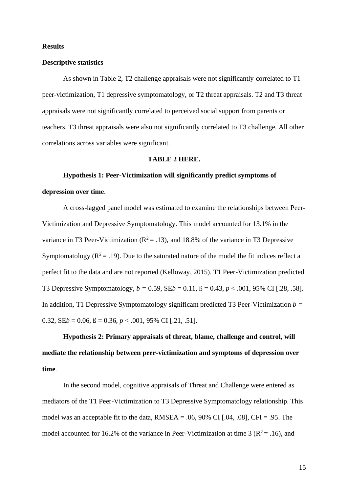#### **Results**

#### **Descriptive statistics**

As shown in Table 2, T2 challenge appraisals were not significantly correlated to T1 peer-victimization, T1 depressive symptomatology, or T2 threat appraisals. T2 and T3 threat appraisals were not significantly correlated to perceived social support from parents or teachers. T3 threat appraisals were also not significantly correlated to T3 challenge. All other correlations across variables were significant.

#### **TABLE 2 HERE.**

# **Hypothesis 1: Peer-Victimization will significantly predict symptoms of depression over time**.

A cross-lagged panel model was estimated to examine the relationships between Peer-Victimization and Depressive Symptomatology. This model accounted for 13.1% in the variance in T3 Peer-Victimization ( $R^2 = .13$ ), and 18.8% of the variance in T3 Depressive Symptomatology ( $R^2 = .19$ ). Due to the saturated nature of the model the fit indices reflect a perfect fit to the data and are not reported (Kelloway, 2015). T1 Peer-Victimization predicted T3 Depressive Symptomatology,  $b = 0.59$ ,  $\text{SE}b = 0.11$ ,  $\beta = 0.43$ ,  $p < .001$ , 95% CI [.28, .58]. In addition, T1 Depressive Symptomatology significant predicted T3 Peer-Victimization *b =*  0.32,  $\text{SE}b = 0.06$ ,  $\beta = 0.36$ ,  $p < .001$ , 95% CI [.21, .51].

**Hypothesis 2: Primary appraisals of threat, blame, challenge and control, will mediate the relationship between peer-victimization and symptoms of depression over time**.

In the second model, cognitive appraisals of Threat and Challenge were entered as mediators of the T1 Peer-Victimization to T3 Depressive Symptomatology relationship. This model was an acceptable fit to the data,  $RMSEA = .06, 90\%$  CI [.04, .08], CFI = .95. The model accounted for 16.2% of the variance in Peer-Victimization at time 3 ( $\mathbb{R}^2 = .16$ ), and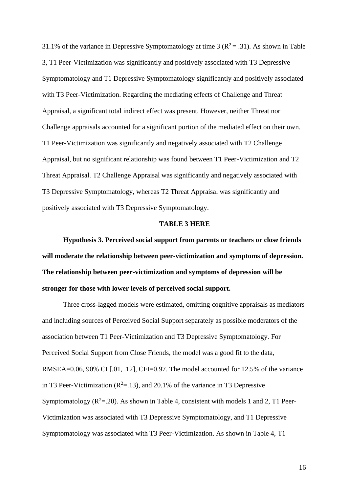31.1% of the variance in Depressive Symptomatology at time 3 ( $\mathbb{R}^2 = .31$ ). As shown in Table 3, T1 Peer-Victimization was significantly and positively associated with T3 Depressive Symptomatology and T1 Depressive Symptomatology significantly and positively associated with T3 Peer-Victimization. Regarding the mediating effects of Challenge and Threat Appraisal, a significant total indirect effect was present. However, neither Threat nor Challenge appraisals accounted for a significant portion of the mediated effect on their own. T1 Peer-Victimization was significantly and negatively associated with T2 Challenge Appraisal, but no significant relationship was found between T1 Peer-Victimization and T2 Threat Appraisal. T2 Challenge Appraisal was significantly and negatively associated with T3 Depressive Symptomatology, whereas T2 Threat Appraisal was significantly and positively associated with T3 Depressive Symptomatology.

## **TABLE 3 HERE**

**Hypothesis 3. Perceived social support from parents or teachers or close friends will moderate the relationship between peer-victimization and symptoms of depression. The relationship between peer-victimization and symptoms of depression will be stronger for those with lower levels of perceived social support.**

Three cross-lagged models were estimated, omitting cognitive appraisals as mediators and including sources of Perceived Social Support separately as possible moderators of the association between T1 Peer-Victimization and T3 Depressive Symptomatology. For Perceived Social Support from Close Friends, the model was a good fit to the data, RMSEA=0.06, 90% CI [.01, .12], CFI=0.97. The model accounted for 12.5% of the variance in T3 Peer-Victimization ( $\mathbb{R}^2 = 13$ ), and 20.1% of the variance in T3 Depressive Symptomatology  $(R^2=20)$ . As shown in Table 4, consistent with models 1 and 2, T1 Peer-Victimization was associated with T3 Depressive Symptomatology, and T1 Depressive Symptomatology was associated with T3 Peer-Victimization. As shown in Table 4, T1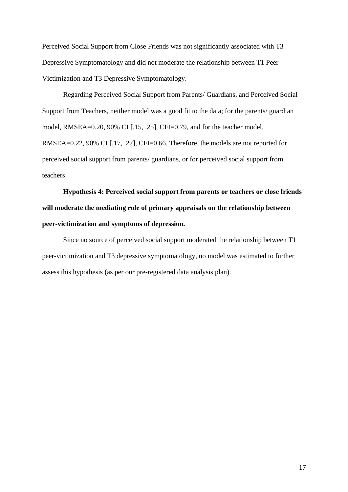Perceived Social Support from Close Friends was not significantly associated with T3 Depressive Symptomatology and did not moderate the relationship between T1 Peer-Victimization and T3 Depressive Symptomatology.

Regarding Perceived Social Support from Parents/ Guardians, and Perceived Social Support from Teachers, neither model was a good fit to the data; for the parents/ guardian model, RMSEA=0.20, 90% CI [.15, .25], CFI=0.79, and for the teacher model, RMSEA=0.22, 90% CI [.17, .27], CFI=0.66. Therefore, the models are not reported for perceived social support from parents/ guardians, or for perceived social support from teachers.

**Hypothesis 4: Perceived social support from parents or teachers or close friends will moderate the mediating role of primary appraisals on the relationship between peer-victimization and symptoms of depression.** 

Since no source of perceived social support moderated the relationship between T1 peer-victimization and T3 depressive symptomatology, no model was estimated to further assess this hypothesis (as per our pre-registered data analysis plan).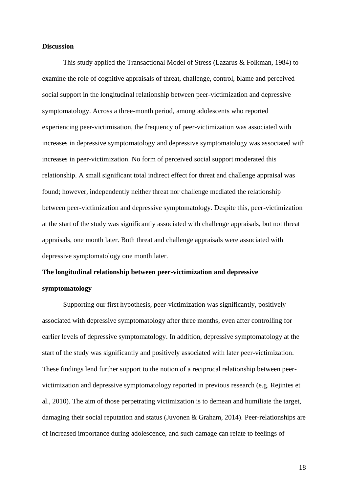## **Discussion**

This study applied the Transactional Model of Stress (Lazarus & Folkman, 1984) to examine the role of cognitive appraisals of threat, challenge, control, blame and perceived social support in the longitudinal relationship between peer-victimization and depressive symptomatology. Across a three-month period, among adolescents who reported experiencing peer-victimisation, the frequency of peer-victimization was associated with increases in depressive symptomatology and depressive symptomatology was associated with increases in peer-victimization. No form of perceived social support moderated this relationship. A small significant total indirect effect for threat and challenge appraisal was found; however, independently neither threat nor challenge mediated the relationship between peer-victimization and depressive symptomatology. Despite this, peer-victimization at the start of the study was significantly associated with challenge appraisals, but not threat appraisals, one month later. Both threat and challenge appraisals were associated with depressive symptomatology one month later.

# **The longitudinal relationship between peer-victimization and depressive symptomatology**

Supporting our first hypothesis, peer-victimization was significantly, positively associated with depressive symptomatology after three months, even after controlling for earlier levels of depressive symptomatology. In addition, depressive symptomatology at the start of the study was significantly and positively associated with later peer-victimization. These findings lend further support to the notion of a reciprocal relationship between peervictimization and depressive symptomatology reported in previous research (e.g. Rejintes et al., 2010). The aim of those perpetrating victimization is to demean and humiliate the target, damaging their social reputation and status (Juvonen & Graham, 2014). Peer-relationships are of increased importance during adolescence, and such damage can relate to feelings of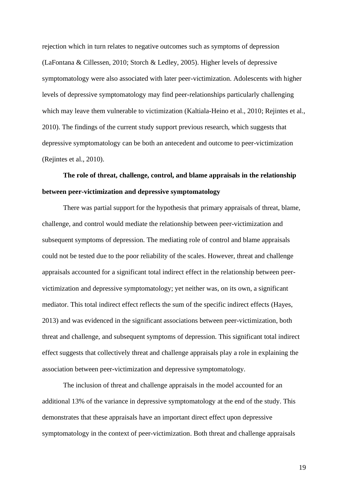rejection which in turn relates to negative outcomes such as symptoms of depression (LaFontana & Cillessen, 2010; Storch & Ledley, 2005). Higher levels of depressive symptomatology were also associated with later peer-victimization. Adolescents with higher levels of depressive symptomatology may find peer-relationships particularly challenging which may leave them vulnerable to victimization (Kaltiala-Heino et al., 2010; Rejintes et al., 2010). The findings of the current study support previous research, which suggests that depressive symptomatology can be both an antecedent and outcome to peer-victimization (Rejintes et al., 2010).

# **The role of threat, challenge, control, and blame appraisals in the relationship between peer-victimization and depressive symptomatology**

There was partial support for the hypothesis that primary appraisals of threat, blame, challenge, and control would mediate the relationship between peer-victimization and subsequent symptoms of depression. The mediating role of control and blame appraisals could not be tested due to the poor reliability of the scales. However, threat and challenge appraisals accounted for a significant total indirect effect in the relationship between peervictimization and depressive symptomatology; yet neither was, on its own, a significant mediator. This total indirect effect reflects the sum of the specific indirect effects (Hayes, 2013) and was evidenced in the significant associations between peer-victimization, both threat and challenge, and subsequent symptoms of depression. This significant total indirect effect suggests that collectively threat and challenge appraisals play a role in explaining the association between peer-victimization and depressive symptomatology.

The inclusion of threat and challenge appraisals in the model accounted for an additional 13% of the variance in depressive symptomatology at the end of the study. This demonstrates that these appraisals have an important direct effect upon depressive symptomatology in the context of peer-victimization. Both threat and challenge appraisals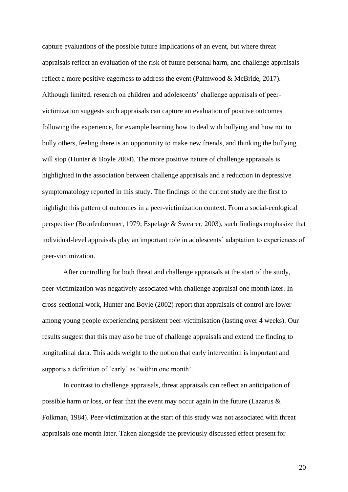capture evaluations of the possible future implications of an event, but where threat appraisals reflect an evaluation of the risk of future personal harm, and challenge appraisals reflect a more positive eagerness to address the event (Palmwood & McBride, 2017). Although limited, research on children and adolescents' challenge appraisals of peervictimization suggests such appraisals can capture an evaluation of positive outcomes following the experience, for example learning how to deal with bullying and how not to bully others, feeling there is an opportunity to make new friends, and thinking the bullying will stop (Hunter & Boyle 2004). The more positive nature of challenge appraisals is highlighted in the association between challenge appraisals and a reduction in depressive symptomatology reported in this study. The findings of the current study are the first to highlight this pattern of outcomes in a peer-victimization context. From a social-ecological perspective (Bronfenbrenner, 1979; Espelage & Swearer, 2003), such findings emphasize that individual-level appraisals play an important role in adolescents' adaptation to experiences of peer-victimization.

After controlling for both threat and challenge appraisals at the start of the study, peer-victimization was negatively associated with challenge appraisal one month later. In cross-sectional work, Hunter and Boyle (2002) report that appraisals of control are lower among young people experiencing persistent peer-victimisation (lasting over 4 weeks). Our results suggest that this may also be true of challenge appraisals and extend the finding to longitudinal data. This adds weight to the notion that early intervention is important and supports a definition of 'early' as 'within one month'.

In contrast to challenge appraisals, threat appraisals can reflect an anticipation of possible harm or loss, or fear that the event may occur again in the future (Lazarus & Folkman, 1984). Peer-victimization at the start of this study was not associated with threat appraisals one month later. Taken alongside the previously discussed effect present for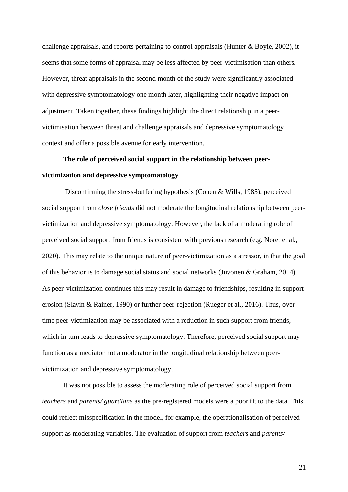challenge appraisals, and reports pertaining to control appraisals (Hunter & Boyle, 2002), it seems that some forms of appraisal may be less affected by peer-victimisation than others. However, threat appraisals in the second month of the study were significantly associated with depressive symptomatology one month later, highlighting their negative impact on adjustment. Taken together, these findings highlight the direct relationship in a peervictimisation between threat and challenge appraisals and depressive symptomatology context and offer a possible avenue for early intervention.

# **The role of perceived social support in the relationship between peervictimization and depressive symptomatology**

Disconfirming the stress-buffering hypothesis (Cohen & Wills, 1985), perceived social support from *close friends* did not moderate the longitudinal relationship between peervictimization and depressive symptomatology. However, the lack of a moderating role of perceived social support from friends is consistent with previous research (e.g. Noret et al., 2020). This may relate to the unique nature of peer-victimization as a stressor, in that the goal of this behavior is to damage social status and social networks (Juvonen & Graham, 2014). As peer-victimization continues this may result in damage to friendships, resulting in support erosion (Slavin & Rainer, 1990) or further peer-rejection (Rueger et al., 2016). Thus, over time peer-victimization may be associated with a reduction in such support from friends, which in turn leads to depressive symptomatology. Therefore, perceived social support may function as a mediator not a moderator in the longitudinal relationship between peervictimization and depressive symptomatology.

It was not possible to assess the moderating role of perceived social support from *teachers* and *parents/ guardians* as the pre-registered models were a poor fit to the data. This could reflect misspecification in the model, for example, the operationalisation of perceived support as moderating variables. The evaluation of support from *teachers* and *parents/*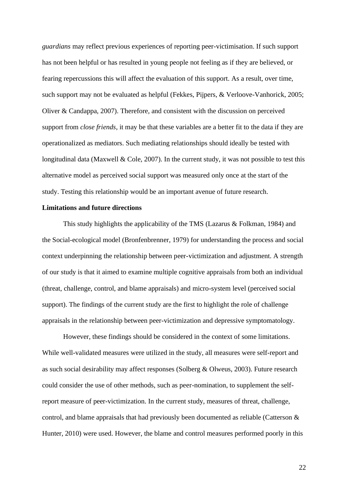*guardians* may reflect previous experiences of reporting peer-victimisation. If such support has not been helpful or has resulted in young people not feeling as if they are believed, or fearing repercussions this will affect the evaluation of this support. As a result, over time, such support may not be evaluated as helpful (Fekkes, Pijpers, & Verloove-Vanhorick, 2005; Oliver & Candappa, 2007). Therefore, and consistent with the discussion on perceived support from *close friends*, it may be that these variables are a better fit to the data if they are operationalized as mediators. Such mediating relationships should ideally be tested with longitudinal data (Maxwell & Cole, 2007). In the current study, it was not possible to test this alternative model as perceived social support was measured only once at the start of the study. Testing this relationship would be an important avenue of future research.

## **Limitations and future directions**

This study highlights the applicability of the TMS (Lazarus & Folkman, 1984) and the Social-ecological model (Bronfenbrenner, 1979) for understanding the process and social context underpinning the relationship between peer-victimization and adjustment. A strength of our study is that it aimed to examine multiple cognitive appraisals from both an individual (threat, challenge, control, and blame appraisals) and micro-system level (perceived social support). The findings of the current study are the first to highlight the role of challenge appraisals in the relationship between peer-victimization and depressive symptomatology.

However, these findings should be considered in the context of some limitations. While well-validated measures were utilized in the study, all measures were self-report and as such social desirability may affect responses (Solberg & Olweus, 2003). Future research could consider the use of other methods, such as peer-nomination, to supplement the selfreport measure of peer-victimization. In the current study, measures of threat, challenge, control, and blame appraisals that had previously been documented as reliable (Catterson & Hunter, 2010) were used. However, the blame and control measures performed poorly in this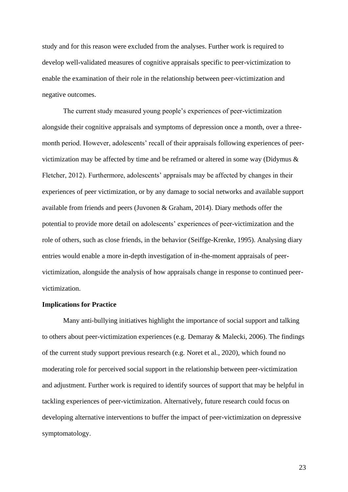study and for this reason were excluded from the analyses. Further work is required to develop well-validated measures of cognitive appraisals specific to peer-victimization to enable the examination of their role in the relationship between peer-victimization and negative outcomes.

The current study measured young people's experiences of peer-victimization alongside their cognitive appraisals and symptoms of depression once a month, over a threemonth period. However, adolescents' recall of their appraisals following experiences of peervictimization may be affected by time and be reframed or altered in some way (Didymus  $\&$ Fletcher, 2012). Furthermore, adolescents' appraisals may be affected by changes in their experiences of peer victimization, or by any damage to social networks and available support available from friends and peers (Juvonen & Graham, 2014). Diary methods offer the potential to provide more detail on adolescents' experiences of peer-victimization and the role of others, such as close friends, in the behavior (Seiffge-Krenke, 1995). Analysing diary entries would enable a more in-depth investigation of in-the-moment appraisals of peervictimization, alongside the analysis of how appraisals change in response to continued peervictimization.

### **Implications for Practice**

Many anti-bullying initiatives highlight the importance of social support and talking to others about peer-victimization experiences (e.g. Demaray & Malecki, 2006). The findings of the current study support previous research (e.g. Noret et al., 2020), which found no moderating role for perceived social support in the relationship between peer-victimization and adjustment. Further work is required to identify sources of support that may be helpful in tackling experiences of peer-victimization. Alternatively, future research could focus on developing alternative interventions to buffer the impact of peer-victimization on depressive symptomatology.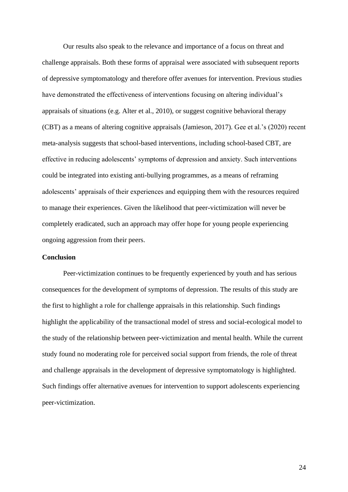Our results also speak to the relevance and importance of a focus on threat and challenge appraisals. Both these forms of appraisal were associated with subsequent reports of depressive symptomatology and therefore offer avenues for intervention. Previous studies have demonstrated the effectiveness of interventions focusing on altering individual's appraisals of situations (e.g. Alter et al., 2010), or suggest cognitive behavioral therapy (CBT) as a means of altering cognitive appraisals (Jamieson, 2017). Gee et al.'s (2020) recent meta-analysis suggests that school-based interventions, including school-based CBT, are effective in reducing adolescents' symptoms of depression and anxiety. Such interventions could be integrated into existing anti-bullying programmes, as a means of reframing adolescents' appraisals of their experiences and equipping them with the resources required to manage their experiences. Given the likelihood that peer-victimization will never be completely eradicated, such an approach may offer hope for young people experiencing ongoing aggression from their peers.

# **Conclusion**

Peer-victimization continues to be frequently experienced by youth and has serious consequences for the development of symptoms of depression. The results of this study are the first to highlight a role for challenge appraisals in this relationship. Such findings highlight the applicability of the transactional model of stress and social-ecological model to the study of the relationship between peer-victimization and mental health. While the current study found no moderating role for perceived social support from friends, the role of threat and challenge appraisals in the development of depressive symptomatology is highlighted. Such findings offer alternative avenues for intervention to support adolescents experiencing peer-victimization.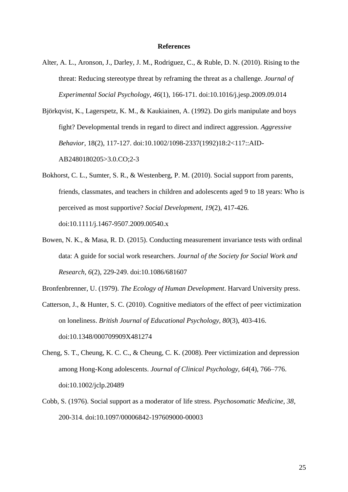#### **References**

- Alter, A. L., Aronson, J., Darley, J. M., Rodriguez, C., & Ruble, D. N. (2010). Rising to the threat: Reducing stereotype threat by reframing the threat as a challenge. *Journal of Experimental Social Psychology*, *46*(1), 166-171. doi:10.1016/j.jesp.2009.09.014
- Björkqvist, K., Lagerspetz, K. M., & Kaukiainen, A. (1992). Do girls manipulate and boys fight? Developmental trends in regard to direct and indirect aggression. *Aggressive Behavior*, 18(2), 117-127. doi:10.1002/1098-2337(1992)18:2<117::AID-AB2480180205>3.0.CO;2-3
- Bokhorst, C. L., Sumter, S. R., & Westenberg, P. M. (2010). Social support from parents, friends, classmates, and teachers in children and adolescents aged 9 to 18 years: Who is perceived as most supportive? *Social Development, 19*(2), 417-426. doi:10.1111/j.1467-9507.2009.00540.x
- Bowen, N. K., & Masa, R. D. (2015). Conducting measurement invariance tests with ordinal data: A guide for social work researchers. *Journal of the Society for Social Work and Research, 6*(2), 229-249. doi:10.1086/681607

Bronfenbrenner, U. (1979). *The Ecology of Human Development*. Harvard University press.

- Catterson, J., & Hunter, S. C. (2010). Cognitive mediators of the effect of peer victimization on loneliness. *British Journal of Educational Psychology, 80*(3), 403-416. doi:10.1348/000709909X481274
- Cheng, S. T., Cheung, K. C. C., & Cheung, C. K. (2008). Peer victimization and depression among Hong-Kong adolescents. *Journal of Clinical Psychology, 64*(4), 766–776. doi:10.1002/jclp.20489
- Cobb, S. (1976). Social support as a moderator of life stress. *Psychosomatic Medicine, 38*, 200-314. doi:10.1097/00006842-197609000-00003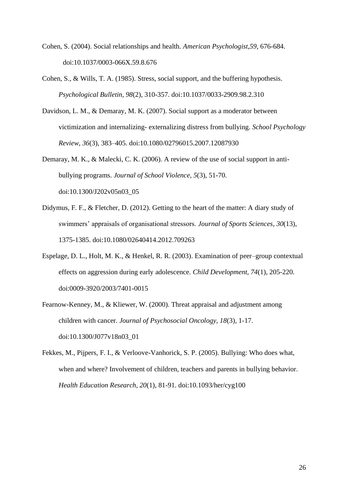- Cohen, S. (2004). Social relationships and health. *American Psychologist,59*, 676-684. doi:10.1037/0003-066X.59.8.676
- Cohen, S., & Wills, T. A. (1985). Stress, social support, and the buffering hypothesis. *Psychological Bulletin, 98*(2), 310-357. doi:10.1037/0033-2909.98.2.310
- Davidson, L. M., & Demaray, M. K. (2007). Social support as a moderator between victimization and internalizing- externalizing distress from bullying. *School Psychology Review, 36*(3), 383–405. doi:10.1080/02796015.2007.12087930
- Demaray, M. K., & Malecki, C. K. (2006). A review of the use of social support in antibullying programs. *Journal of School Violence, 5*(3), 51-70. doi:10.1300/J202v05n03\_05
- Didymus, F. F., & Fletcher, D. (2012). Getting to the heart of the matter: A diary study of swimmers' appraisals of organisational stressors. *Journal of Sports Sciences*, *30*(13), 1375-1385. doi:10.1080/02640414.2012.709263
- Espelage, D. L., Holt, M. K., & Henkel, R. R. (2003). Examination of peer–group contextual effects on aggression during early adolescence. *Child Development, 74*(1), 205-220. doi:0009-3920/2003/7401-0015
- Fearnow-Kenney, M., & Kliewer, W. (2000). Threat appraisal and adjustment among children with cancer. *Journal of Psychosocial Oncology, 18*(3), 1-17. doi:10.1300/J077v18n03\_01
- Fekkes, M., Pijpers, F. I., & Verloove-Vanhorick, S. P. (2005). Bullying: Who does what, when and where? Involvement of children, teachers and parents in bullying behavior. *Health Education Research, 20*(1), 81-91. doi:10.1093/her/cyg100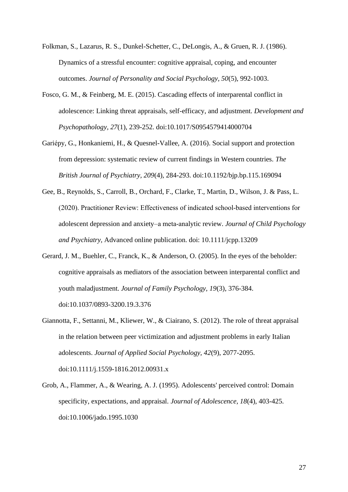- Folkman, S., Lazarus, R. S., Dunkel-Schetter, C., DeLongis, A., & Gruen, R. J. (1986). Dynamics of a stressful encounter: cognitive appraisal, coping, and encounter outcomes. *Journal of Personality and Social Psychology, 50*(5), 992-1003.
- Fosco, G. M., & Feinberg, M. E. (2015). Cascading effects of interparental conflict in adolescence: Linking threat appraisals, self-efficacy, and adjustment. *Development and Psychopathology, 27*(1), 239-252. doi:10.1017/S0954579414000704
- Gariépy, G., Honkaniemi, H., & Quesnel-Vallee, A. (2016). Social support and protection from depression: systematic review of current findings in Western countries. *The British Journal of Psychiatry, 209*(4), 284-293. doi:10.1192/bjp.bp.115.169094
- Gee, B., Reynolds, S., Carroll, B., Orchard, F., Clarke, T., Martin, D., Wilson, J. & Pass, L. (2020). Practitioner Review: Effectiveness of indicated school‐based interventions for adolescent depression and anxiety–a meta‐analytic review. *Journal of Child Psychology and Psychiatry,* Advanced online publication. doi: 10.1111/jcpp.13209
- Gerard, J. M., Buehler, C., Franck, K., & Anderson, O. (2005). In the eyes of the beholder: cognitive appraisals as mediators of the association between interparental conflict and youth maladjustment. *Journal of Family Psychology, 19*(3), 376-384. doi:10.1037/0893-3200.19.3.376
- Giannotta, F., Settanni, M., Kliewer, W., & Ciairano, S. (2012). The role of threat appraisal in the relation between peer victimization and adjustment problems in early Italian adolescents. *Journal of Applied Social Psychology, 42*(9), 2077-2095. doi:10.1111/j.1559-1816.2012.00931.x
- Grob, A., Flammer, A., & Wearing, A. J. (1995). Adolescents' perceived control: Domain specificity, expectations, and appraisal. *Journal of Adolescence, 18*(4), 403-425. doi:10.1006/jado.1995.1030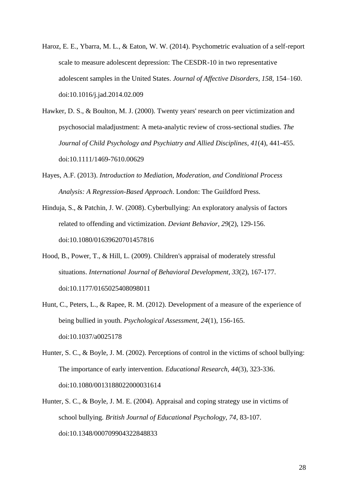- Haroz, E. E., Ybarra, M. L., & Eaton, W. W. (2014). Psychometric evaluation of a self-report scale to measure adolescent depression: The CESDR-10 in two representative adolescent samples in the United States. *Journal of Affective Disorders, 158,* 154–160. doi:10.1016/j.jad.2014.02.009
- Hawker, D. S., & Boulton, M. J. (2000). Twenty years' research on peer victimization and psychosocial maladjustment: A meta-analytic review of cross-sectional studies. *The Journal of Child Psychology and Psychiatry and Allied Disciplines, 41*(4), 441-455. doi:10.1111/1469-7610.00629
- Hayes, A.F. (2013). *Introduction to Mediation, Moderation, and Conditional Process Analysis: A Regression-Based Approach*. London: The Guildford Press.
- Hinduja, S., & Patchin, J. W. (2008). Cyberbullying: An exploratory analysis of factors related to offending and victimization. *Deviant Behavior, 29*(2), 129-156. doi:10.1080/01639620701457816
- Hood, B., Power, T., & Hill, L. (2009). Children's appraisal of moderately stressful situations. *International Journal of Behavioral Development, 33*(2), 167-177. doi:10.1177/0165025408098011
- Hunt, C., Peters, L., & Rapee, R. M. (2012). Development of a measure of the experience of being bullied in youth*. Psychological Assessment, 24*(1), 156-165. doi:10.1037/a0025178
- Hunter, S. C., & Boyle, J. M. (2002). Perceptions of control in the victims of school bullying: The importance of early intervention. *Educational Research, 44*(3), 323-336. doi:10.1080/0013188022000031614
- Hunter, S. C., & Boyle, J. M. E. (2004). Appraisal and coping strategy use in victims of school bullying. *British Journal of Educational Psychology, 74*, 83-107. doi:10.1348/000709904322848833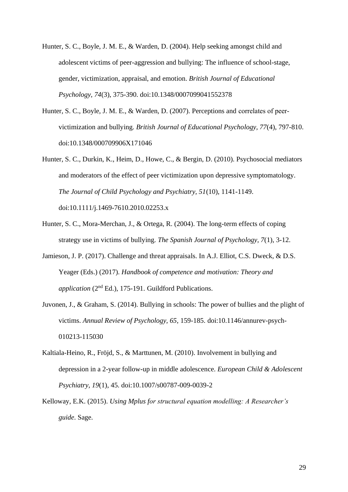- Hunter, S. C., Boyle, J. M. E., & Warden, D. (2004). Help seeking amongst child and adolescent victims of peer-aggression and bullying: The influence of school-stage, gender, victimization, appraisal, and emotion. *British Journal of Educational Psychology, 74*(3), 375-390. doi:10.1348/0007099041552378
- Hunter, S. C., Boyle, J. M. E., & Warden, D. (2007). Perceptions and correlates of peervictimization and bullying*. British Journal of Educational Psychology, 77*(4), 797-810. doi:10.1348/000709906X171046
- Hunter, S. C., Durkin, K., Heim, D., Howe, C., & Bergin, D. (2010). Psychosocial mediators and moderators of the effect of peer victimization upon depressive symptomatology. *The Journal of Child Psychology and Psychiatry, 51*(10), 1141-1149. doi:10.1111/j.1469-7610.2010.02253.x
- Hunter, S. C., Mora-Merchan, J., & Ortega, R. (2004). The long-term effects of coping strategy use in victims of bullying. *The Spanish Journal of Psychology, 7*(1), 3-12.
- Jamieson, J. P. (2017). Challenge and threat appraisals. In A.J. Elliot, C.S. Dweck, & D.S. Yeager (Eds.) (2017). *Handbook of competence and motivation: Theory and application* (2nd Ed.), 175-191. Guildford Publications.
- Juvonen, J., & Graham, S. (2014). Bullying in schools: The power of bullies and the plight of victims. *Annual Review of Psychology, 65*, 159-185. doi:10.1146/annurev-psych-010213-115030
- Kaltiala-Heino, R., Fröjd, S., & Marttunen, M. (2010). Involvement in bullying and depression in a 2-year follow-up in middle adolescence. *European Child & Adolescent Psychiatry, 19*(1), 45. doi:10.1007/s00787-009-0039-2
- Kelloway, E.K. (2015). *Using Mplus for structural equation modelling: A Researcher's guide*. Sage.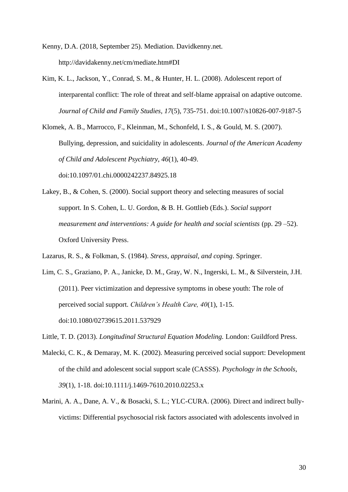Kenny, D.A. (2018, September 25). Mediation. Davidkenny.net. http://davidakenny.net/cm/mediate.htm#DI

Kim, K. L., Jackson, Y., Conrad, S. M., & Hunter, H. L. (2008). Adolescent report of interparental conflict: The role of threat and self-blame appraisal on adaptive outcome. *Journal of Child and Family Studies, 17*(5), 735-751. doi:10.1007/s10826-007-9187-5

Klomek, A. B., Marrocco, F., Kleinman, M., Schonfeld, I. S., & Gould, M. S. (2007). Bullying, depression, and suicidality in adolescents. *Journal of the American Academy of Child and Adolescent Psychiatry, 46*(1), 40-49. doi:10.1097/01.chi.0000242237.84925.18

Lakey, B., & Cohen, S. (2000). Social support theory and selecting measures of social support. In S. Cohen, L. U. Gordon, & B. H. Gottlieb (Eds.). *Social support measurement and interventions: A guide for health and social scientists* (pp. 29 –52). Oxford University Press.

Lazarus, R. S., & Folkman, S. (1984). *Stress, appraisal, and coping*. Springer.

- Lim, C. S., Graziano, P. A., Janicke, D. M., Gray, W. N., Ingerski, L. M., & Silverstein, J.H. (2011). Peer victimization and depressive symptoms in obese youth: The role of perceived social support. *Children's Health Care, 40*(1), 1-15. doi:10.1080/02739615.2011.537929
- Little, T. D. (2013). *Longitudinal Structural Equation Modeling.* London: Guildford Press.
- Malecki, C. K., & Demaray, M. K. (2002). Measuring perceived social support: Development of the child and adolescent social support scale (CASSS). *Psychology in the Schools, 39*(1), 1-18. doi:10.1111/j.1469-7610.2010.02253.x
- Marini, A. A., Dane, A. V., & Bosacki, S. L.; YLC-CURA. (2006). Direct and indirect bullyvictims: Differential psychosocial risk factors associated with adolescents involved in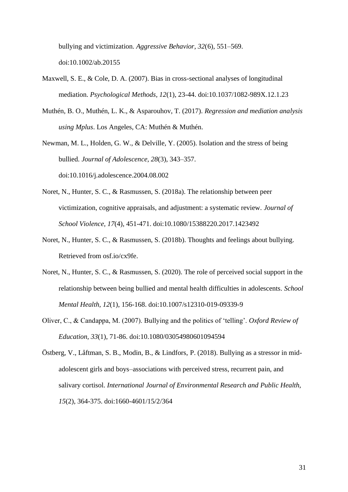bullying and victimization. *Aggressive Behavior, 32*(6), 551–569. doi:10.1002/ab.20155

- Maxwell, S. E., & Cole, D. A. (2007). Bias in cross-sectional analyses of longitudinal mediation. *Psychological Methods, 12*(1), 23-44. doi:10.1037/1082-989X.12.1.23
- Muthén, B. O., Muthén, L. K., & Asparouhov, T. (2017). *Regression and mediation analysis using Mplus*. Los Angeles, CA: Muthén & Muthén.
- Newman, M. L., Holden, G. W., & Delville, Y. (2005). Isolation and the stress of being bullied. *Journal of Adolescence, 28*(3), 343–357.

doi:10.1016/j.adolescence.2004.08.002

- Noret, N., Hunter, S. C., & Rasmussen, S. (2018a). The relationship between peer victimization, cognitive appraisals, and adjustment: a systematic review. *Journal of School Violence, 17*(4), 451-471. doi:10.1080/15388220.2017.1423492
- Noret, N., Hunter, S. C., & Rasmussen, S. (2018b). Thoughts and feelings about bullying. Retrieved from osf.io/cx9fe.
- Noret, N., Hunter, S. C., & Rasmussen, S. (2020). The role of perceived social support in the relationship between being bullied and mental health difficulties in adolescents. *School Mental Health, 12*(1), 156-168. doi:10.1007/s12310-019-09339-9
- Oliver, C., & Candappa, M. (2007). Bullying and the politics of 'telling'. *Oxford Review of Education, 33*(1), 71-86. doi:10.1080/03054980601094594
- Östberg, V., Låftman, S. B., Modin, B., & Lindfors, P. (2018). Bullying as a stressor in midadolescent girls and boys–associations with perceived stress, recurrent pain, and salivary cortisol. *International Journal of Environmental Research and Public Health, 15*(2), 364-375. doi:1660-4601/15/2/364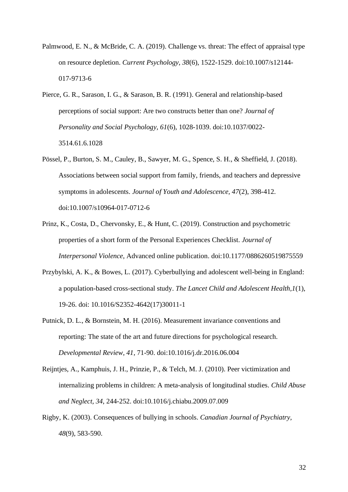- Palmwood, E. N., & McBride, C. A. (2019). Challenge vs. threat: The effect of appraisal type on resource depletion. *Current Psychology, 38*(6), 1522-1529. doi:10.1007/s12144- 017-9713-6
- Pierce, G. R., Sarason, I. G., & Sarason, B. R. (1991). General and relationship-based perceptions of social support: Are two constructs better than one? *Journal of Personality and Social Psychology, 61*(6), 1028-1039. doi:10.1037/0022- 3514.61.6.1028
- Pössel, P., Burton, S. M., Cauley, B., Sawyer, M. G., Spence, S. H., & Sheffield, J. (2018). Associations between social support from family, friends, and teachers and depressive symptoms in adolescents. *Journal of Youth and Adolescence, 47*(2), 398-412. doi:10.1007/s10964-017-0712-6
- Prinz, K., Costa, D., Chervonsky, E., & Hunt, C. (2019). Construction and psychometric properties of a short form of the Personal Experiences Checklist. *Journal of Interpersonal Violence*, Advanced online publication. doi:10.1177/0886260519875559
- Przybylski, A. K., & Bowes, L. (2017). Cyberbullying and adolescent well-being in England: a population-based cross-sectional study. *The Lancet Child and Adolescent Health,1*(1), 19-26. doi: 10.1016/S2352-4642(17)30011-1
- Putnick, D. L., & Bornstein, M. H. (2016). Measurement invariance conventions and reporting: The state of the art and future directions for psychological research. *Developmental Review, 41*, 71-90. doi:10.1016/j.dr.2016.06.004
- Reijntjes, A., Kamphuis, J. H., Prinzie, P., & Telch, M. J. (2010). Peer victimization and internalizing problems in children: A meta-analysis of longitudinal studies. *Child Abuse and Neglect, 34*, 244-252. doi:10.1016/j.chiabu.2009.07.009
- Rigby, K. (2003). Consequences of bullying in schools. *Canadian Journal of Psychiatry, 48*(9), 583-590.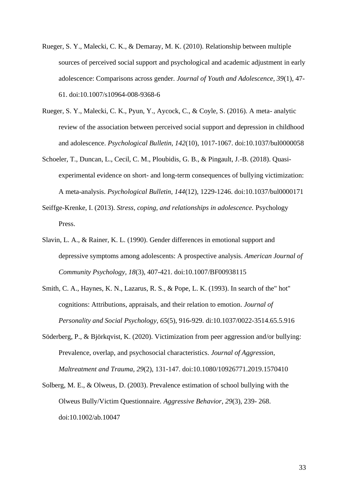- Rueger, S. Y., Malecki, C. K., & Demaray, M. K. (2010). Relationship between multiple sources of perceived social support and psychological and academic adjustment in early adolescence: Comparisons across gender*. Journal of Youth and Adolescence, 39*(1), 47- 61. doi:10.1007/s10964-008-9368-6
- Rueger, S. Y., Malecki, C. K., Pyun, Y., Aycock, C., & Coyle, S. (2016). A meta- analytic review of the association between perceived social support and depression in childhood and adolescence. *Psychological Bulletin, 142*(10), 1017-1067. doi:10.1037/bul0000058
- Schoeler, T., Duncan, L., Cecil, C. M., Ploubidis, G. B., & Pingault, J.-B. (2018). Quasiexperimental evidence on short- and long-term consequences of bullying victimization: A meta-analysis. *Psychological Bulletin, 144*(12), 1229-1246. doi:10.1037/bul0000171
- Seiffge-Krenke, I. (2013). *Stress, coping, and relationships in adolescence.* Psychology Press.
- Slavin, L. A., & Rainer, K. L. (1990). Gender differences in emotional support and depressive symptoms among adolescents: A prospective analysis. *American Journal of Community Psychology, 18*(3), 407-421. doi:10.1007/BF00938115
- Smith, C. A., Haynes, K. N., Lazarus, R. S., & Pope, L. K. (1993). In search of the" hot" cognitions: Attributions, appraisals, and their relation to emotion. *Journal of Personality and Social Psychology*, *65*(5), 916-929. di:10.1037/0022-3514.65.5.916
- Söderberg, P., & Björkqvist, K. (2020). Victimization from peer aggression and/or bullying: Prevalence, overlap, and psychosocial characteristics. *Journal of Aggression, Maltreatment and Trauma*, *29*(2), 131-147. doi:10.1080/10926771.2019.1570410
- Solberg, M. E., & Olweus, D. (2003). Prevalence estimation of school bullying with the Olweus Bully/Victim Questionnaire. *Aggressive Behavior*, *29*(3), 239- 268. doi:10.1002/ab.10047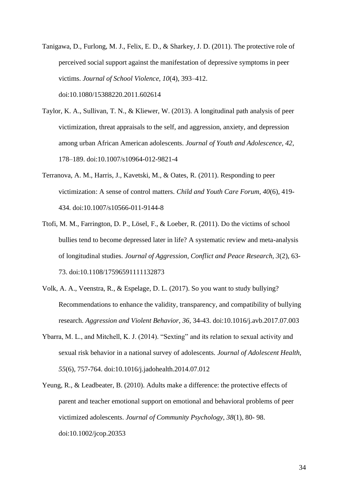- Tanigawa, D., Furlong, M. J., Felix, E. D., & Sharkey, J. D. (2011). The protective role of perceived social support against the manifestation of depressive symptoms in peer victims. *Journal of School Violence, 10*(4), 393–412. doi:10.1080/15388220.2011.602614
- Taylor, K. A., Sullivan, T. N., & Kliewer, W. (2013). A longitudinal path analysis of peer victimization, threat appraisals to the self, and aggression, anxiety, and depression among urban African American adolescents. *Journal of Youth and Adolescence, 42*, 178–189. doi:10.1007/s10964-012-9821-4
- Terranova, A. M., Harris, J., Kavetski, M., & Oates, R. (2011). Responding to peer victimization: A sense of control matters. *Child and Youth Care Forum, 40*(6), 419- 434. doi:10.1007/s10566-011-9144-8
- Ttofi, M. M., Farrington, D. P., Lösel, F., & Loeber, R. (2011). Do the victims of school bullies tend to become depressed later in life? A systematic review and meta-analysis of longitudinal studies*. Journal of Aggression, Conflict and Peace Research, 3*(2), 63- 73. doi:10.1108/17596591111132873
- Volk, A. A., Veenstra, R., & Espelage, D. L. (2017). So you want to study bullying? Recommendations to enhance the validity, transparency, and compatibility of bullying research. *Aggression and Violent Behavior, 36*, 34-43. doi:10.1016/j.avb.2017.07.003
- Ybarra, M. L., and Mitchell, K. J. (2014). "Sexting" and its relation to sexual activity and sexual risk behavior in a national survey of adolescents. *Journal of Adolescent Health, 55*(6), 757-764. doi:10.1016/j.jadohealth.2014.07.012
- Yeung, R., & Leadbeater, B. (2010). Adults make a difference: the protective effects of parent and teacher emotional support on emotional and behavioral problems of peer victimized adolescents. *Journal of Community Psychology, 38*(1), 80- 98. doi:10.1002/jcop.20353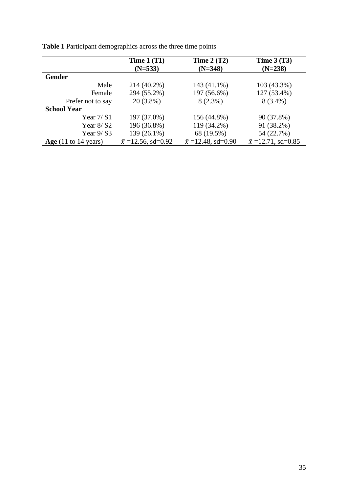|                                         | Time $1(T1)$              | Time $2(T2)$              | Time $3(T3)$              |  |  |
|-----------------------------------------|---------------------------|---------------------------|---------------------------|--|--|
|                                         | $(N=533)$                 | $(N=348)$                 | $(N=238)$                 |  |  |
| <b>Gender</b>                           |                           |                           |                           |  |  |
| Male                                    | 214 (40.2%)               | 143 (41.1%)               | 103 (43.3%)               |  |  |
| Female                                  | 294 (55.2%)               | 197 (56.6%)               | 127 (53.4%)               |  |  |
| Prefer not to say                       | $20(3.8\%)$               | $8(2.3\%)$                | $8(3.4\%)$                |  |  |
| <b>School Year</b>                      |                           |                           |                           |  |  |
| Year $7/$ S1                            | 197 (37.0%)               | 156 (44.8%)               | 90 (37.8%)                |  |  |
| Year $8/$ S2                            | 196 (36.8%)               | 119 (34.2%)               | 91 (38.2%)                |  |  |
| Year $9/$ S3                            | 139 (26.1%)               | 68 (19.5%)                | 54 (22.7%)                |  |  |
| Age $(11 \text{ to } 14 \text{ years})$ | $\bar{x}$ =12.56, sd=0.92 | $\bar{x}$ =12.48, sd=0.90 | $\bar{x}$ =12.71, sd=0.85 |  |  |

**Table 1** Participant demographics across the three time points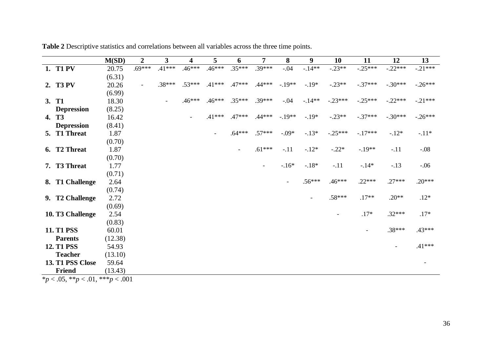|                                                     | M(SD)   | $\overline{2}$ | 3        | 4        | 5                        | 6        | 7                        | 8                        | 9        | 10        | 11        | 12        | 13        |
|-----------------------------------------------------|---------|----------------|----------|----------|--------------------------|----------|--------------------------|--------------------------|----------|-----------|-----------|-----------|-----------|
| 1. T1 PV                                            | 20.75   | $.69***$       | $.41***$ | $.46***$ | $.46***$                 | $.35***$ | .39***                   | $-.04$                   | $-.14**$ | $-.23**$  | $-.25***$ | $-.22***$ | $-.21***$ |
|                                                     | (6.31)  |                |          |          |                          |          |                          |                          |          |           |           |           |           |
| 2. T3 PV                                            | 20.26   | $\blacksquare$ | $.38***$ | $.53***$ | $.41***$                 | $.47***$ | $.44***$                 | $-.19**$                 | $-.19*$  | $-.23**$  | $-.37***$ | $-.30***$ | $-.26***$ |
|                                                     | (6.99)  |                |          |          |                          |          |                          |                          |          |           |           |           |           |
| 3. T1                                               | 18.30   |                |          | $.46***$ | $.46***$                 | $.35***$ | $.39***$                 | $-.04$                   | $-.14**$ | $-.23***$ | $-.25***$ | $-.22***$ | $-.21***$ |
| <b>Depression</b>                                   | (8.25)  |                |          |          |                          |          |                          |                          |          |           |           |           |           |
| 4. T <sub>3</sub>                                   | 16.42   |                |          |          | $.41***$                 | $.47***$ | $.44***$                 | $-.19**$                 | $-.19*$  | $-.23**$  | $-.37***$ | $-.30***$ | $-.26***$ |
| <b>Depression</b>                                   | (8.41)  |                |          |          |                          |          |                          |                          |          |           |           |           |           |
| 5. T1 Threat                                        | 1.87    |                |          |          | $\overline{\phantom{a}}$ | $.64***$ | $.57***$                 | $-.09*$                  | $-.13*$  | $-.25***$ | $-.17***$ | $-.12*$   | $-.11*$   |
|                                                     | (0.70)  |                |          |          |                          |          |                          |                          |          |           |           |           |           |
| 6. T <sub>2</sub> Threat                            | 1.87    |                |          |          |                          |          | $.61***$                 | $-.11$                   | $-.12*$  | $-.22*$   | $-.19**$  | $-.11$    | $-.08$    |
|                                                     | (0.70)  |                |          |          |                          |          |                          |                          |          |           |           |           |           |
| 7. T3 Threat                                        | 1.77    |                |          |          |                          |          | $\overline{\phantom{a}}$ | $-16*$                   | $-.18*$  | $-.11$    | $-.14*$   | $-.13$    | $-.06$    |
|                                                     | (0.71)  |                |          |          |                          |          |                          |                          |          |           |           |           |           |
| 8. T1 Challenge                                     | 2.64    |                |          |          |                          |          |                          | $\overline{\phantom{a}}$ | $.56***$ | $.46***$  | $.22***$  | $.27***$  | $.20***$  |
|                                                     | (0.74)  |                |          |          |                          |          |                          |                          |          |           |           |           |           |
| 9. T2 Challenge                                     | 2.72    |                |          |          |                          |          |                          |                          |          | $.58***$  | $.17**$   | $.20**$   | $.12*$    |
|                                                     | (0.69)  |                |          |          |                          |          |                          |                          |          |           |           |           |           |
| 10. T3 Challenge                                    | 2.54    |                |          |          |                          |          |                          |                          |          |           | $.17*$    | $.32***$  | $.17*$    |
|                                                     | (0.83)  |                |          |          |                          |          |                          |                          |          |           |           |           |           |
| <b>11. T1 PSS</b>                                   | 60.01   |                |          |          |                          |          |                          |                          |          |           |           | .38***    | $.43***$  |
| <b>Parents</b>                                      | (12.38) |                |          |          |                          |          |                          |                          |          |           |           |           |           |
| <b>12. T1 PSS</b>                                   | 54.93   |                |          |          |                          |          |                          |                          |          |           |           |           | $.41***$  |
| <b>Teacher</b>                                      | (13.10) |                |          |          |                          |          |                          |                          |          |           |           |           |           |
| 13. T1 PSS Close                                    | 59.64   |                |          |          |                          |          |                          |                          |          |           |           |           |           |
| Friend<br>$*$ $\sim$ 05 ** $\sim$ 01 *** $\sim$ 001 | (13.43) |                |          |          |                          |          |                          |                          |          |           |           |           |           |

**Table 2** Descriptive statistics and correlations between all variables across the three time points.

\**p* < .05, \*\**p* < .01, \*\*\**p* < .001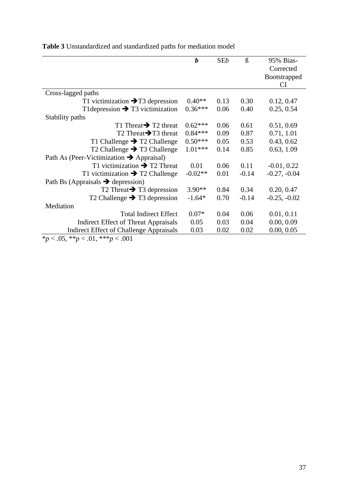|                                                      | $\boldsymbol{b}$ | <b>SEb</b> | $\beta$ | 95% Bias-           |  |  |  |
|------------------------------------------------------|------------------|------------|---------|---------------------|--|--|--|
|                                                      |                  |            |         | Corrected           |  |  |  |
|                                                      |                  |            |         | <b>Bootstrapped</b> |  |  |  |
|                                                      |                  |            |         | CI                  |  |  |  |
| Cross-lagged paths                                   |                  |            |         |                     |  |  |  |
| T1 victimization $\rightarrow$ T3 depression         | $0.40**$         | 0.13       | 0.30    | 0.12, 0.47          |  |  |  |
| T1 depression $\rightarrow$ T3 victimization         | $0.36***$        | 0.06       | 0.40    | 0.25, 0.54          |  |  |  |
| Stability paths                                      |                  |            |         |                     |  |  |  |
| T1 Threat $\rightarrow$ T2 threat                    | $0.62***$        | 0.06       | 0.61    | 0.51, 0.69          |  |  |  |
| T2 Threat $\rightarrow$ T3 threat                    | $0.84***$        | 0.09       | 0.87    | 0.71, 1.01          |  |  |  |
| T1 Challenge $\rightarrow$ T2 Challenge              | $0.50***$        | 0.05       | 0.53    | 0.43, 0.62          |  |  |  |
| T2 Challenge $\rightarrow$ T3 Challenge              | $1.01***$        | 0.14       | 0.85    | 0.63, 1.09          |  |  |  |
| Path As (Peer-Victimization $\rightarrow$ Appraisal) |                  |            |         |                     |  |  |  |
| T1 victimization $\rightarrow$ T2 Threat             | 0.01             | 0.06       | 0.11    | $-0.01, 0.22$       |  |  |  |
| T1 victimization $\rightarrow$ T2 Challenge          | $-0.02**$        | 0.01       | $-0.14$ | $-0.27, -0.04$      |  |  |  |
| Path Bs (Appraisals $\rightarrow$ depression)        |                  |            |         |                     |  |  |  |
| T2 Threat $\rightarrow$ T3 depression                | $3.90**$         | 0.84       | 0.34    | 0.20, 0.47          |  |  |  |
| T2 Challenge $\rightarrow$ T3 depression             | $-1.64*$         | 0.70       | $-0.14$ | $-0.25, -0.02$      |  |  |  |
| Mediation                                            |                  |            |         |                     |  |  |  |
| <b>Total Indirect Effect</b>                         | $0.07*$          | 0.04       | 0.06    | 0.01, 0.11          |  |  |  |
| <b>Indirect Effect of Threat Appraisals</b>          | 0.05             | 0.03       | 0.04    | 0.00, 0.09          |  |  |  |
| <b>Indirect Effect of Challenge Appraisals</b>       | 0.03             | 0.02       | 0.02    | 0.00, 0.05          |  |  |  |
| *p < .05, **p < .01, ***p < .001                     |                  |            |         |                     |  |  |  |

**Table 3** Unstandardized and standardized paths for mediation model